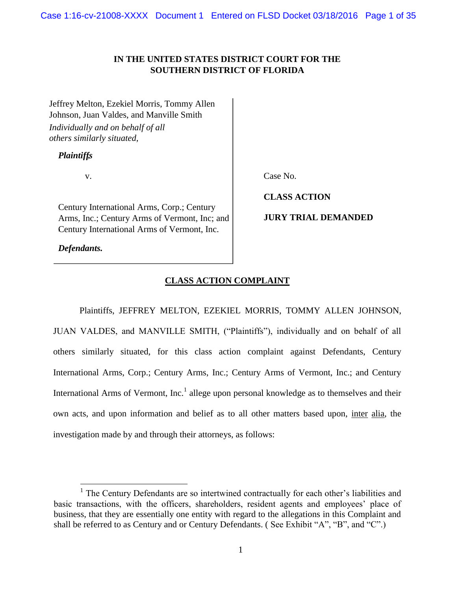# **IN THE UNITED STATES DISTRICT COURT FOR THE SOUTHERN DISTRICT OF FLORIDA**

Jeffrey Melton, Ezekiel Morris, Tommy Allen Johnson, Juan Valdes, and Manville Smith *Individually and on behalf of all others similarly situated,* 

# *Plaintiffs*,

v.

Century International Arms, Corp.; Century Arms, Inc.; Century Arms of Vermont, Inc; and Century International Arms of Vermont, Inc.

*Defendants.*

 $\overline{a}$ 

Case No.

**CLASS ACTION** 

**JURY TRIAL DEMANDED** 

# **CLASS ACTION COMPLAINT**

Plaintiffs, JEFFREY MELTON, EZEKIEL MORRIS, TOMMY ALLEN JOHNSON, JUAN VALDES, and MANVILLE SMITH, ("Plaintiffs"), individually and on behalf of all others similarly situated, for this class action complaint against Defendants, Century International Arms, Corp.; Century Arms, Inc.; Century Arms of Vermont, Inc.; and Century International Arms of Vermont, Inc.<sup>1</sup> allege upon personal knowledge as to themselves and their own acts, and upon information and belief as to all other matters based upon, inter alia, the investigation made by and through their attorneys, as follows:

<sup>&</sup>lt;sup>1</sup> The Century Defendants are so intertwined contractually for each other's liabilities and basic transactions, with the officers, shareholders, resident agents and employees' place of business, that they are essentially one entity with regard to the allegations in this Complaint and shall be referred to as Century and or Century Defendants. ( See Exhibit "A", "B", and "C".)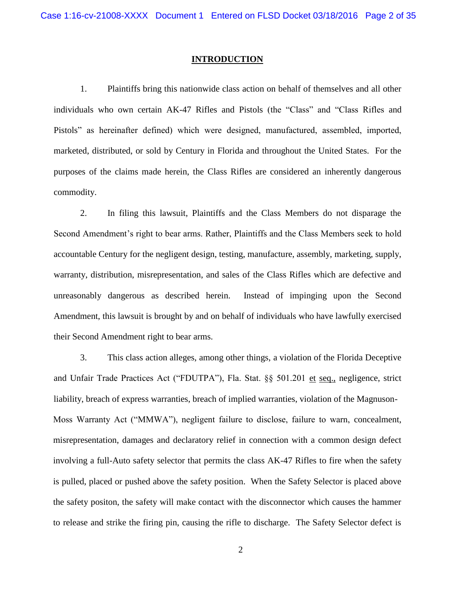## **INTRODUCTION**

1. Plaintiffs bring this nationwide class action on behalf of themselves and all other individuals who own certain AK-47 Rifles and Pistols (the "Class" and "Class Rifles and Pistols" as hereinafter defined) which were designed, manufactured, assembled, imported, marketed, distributed, or sold by Century in Florida and throughout the United States. For the purposes of the claims made herein, the Class Rifles are considered an inherently dangerous commodity.

2. In filing this lawsuit, Plaintiffs and the Class Members do not disparage the Second Amendment's right to bear arms. Rather, Plaintiffs and the Class Members seek to hold accountable Century for the negligent design, testing, manufacture, assembly, marketing, supply, warranty, distribution, misrepresentation, and sales of the Class Rifles which are defective and unreasonably dangerous as described herein. Instead of impinging upon the Second Amendment, this lawsuit is brought by and on behalf of individuals who have lawfully exercised their Second Amendment right to bear arms.

3. This class action alleges, among other things, a violation of the Florida Deceptive and Unfair Trade Practices Act ("FDUTPA"), Fla. Stat. §§ 501.201 et seq., negligence, strict liability, breach of express warranties, breach of implied warranties, violation of the Magnuson-Moss Warranty Act ("MMWA"), negligent failure to disclose, failure to warn, concealment, misrepresentation, damages and declaratory relief in connection with a common design defect involving a full-Auto safety selector that permits the class AK-47 Rifles to fire when the safety is pulled, placed or pushed above the safety position. When the Safety Selector is placed above the safety positon, the safety will make contact with the disconnector which causes the hammer to release and strike the firing pin, causing the rifle to discharge. The Safety Selector defect is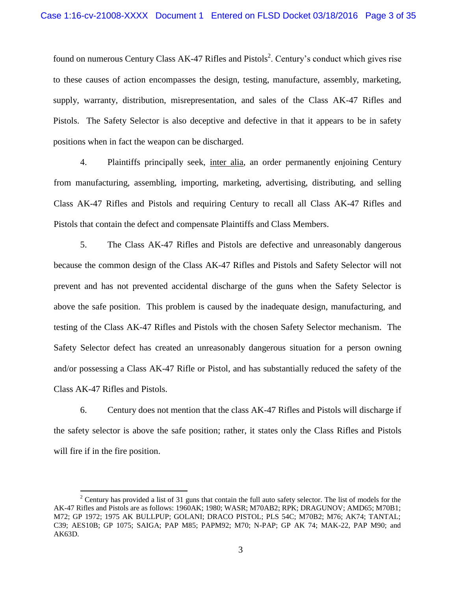found on numerous Century Class AK-47 Rifles and Pistols<sup>2</sup>. Century's conduct which gives rise to these causes of action encompasses the design, testing, manufacture, assembly, marketing, supply, warranty, distribution, misrepresentation, and sales of the Class AK-47 Rifles and Pistols. The Safety Selector is also deceptive and defective in that it appears to be in safety positions when in fact the weapon can be discharged.

4. Plaintiffs principally seek, inter alia, an order permanently enjoining Century from manufacturing, assembling, importing, marketing, advertising, distributing, and selling Class AK-47 Rifles and Pistols and requiring Century to recall all Class AK-47 Rifles and Pistols that contain the defect and compensate Plaintiffs and Class Members.

5. The Class AK-47 Rifles and Pistols are defective and unreasonably dangerous because the common design of the Class AK-47 Rifles and Pistols and Safety Selector will not prevent and has not prevented accidental discharge of the guns when the Safety Selector is above the safe position. This problem is caused by the inadequate design, manufacturing, and testing of the Class AK-47 Rifles and Pistols with the chosen Safety Selector mechanism. The Safety Selector defect has created an unreasonably dangerous situation for a person owning and/or possessing a Class AK-47 Rifle or Pistol, and has substantially reduced the safety of the Class AK-47 Rifles and Pistols.

6. Century does not mention that the class AK-47 Rifles and Pistols will discharge if the safety selector is above the safe position; rather, it states only the Class Rifles and Pistols will fire if in the fire position.

 $\overline{a}$ 

<sup>&</sup>lt;sup>2</sup> Century has provided a list of 31 guns that contain the full auto safety selector. The list of models for the AK-47 Rifles and Pistols are as follows: 1960AK; 1980; WASR; M70AB2; RPK; DRAGUNOV; AMD65; M70B1; M72; GP 1972; 1975 AK BULLPUP; GOLANI; DRACO PISTOL; PLS 54C; M70B2; M76; AK74; TANTAL; C39; AES10B; GP 1075; SAIGA; PAP M85; PAPM92; M70; N-PAP; GP AK 74; MAK-22, PAP M90; and AK63D.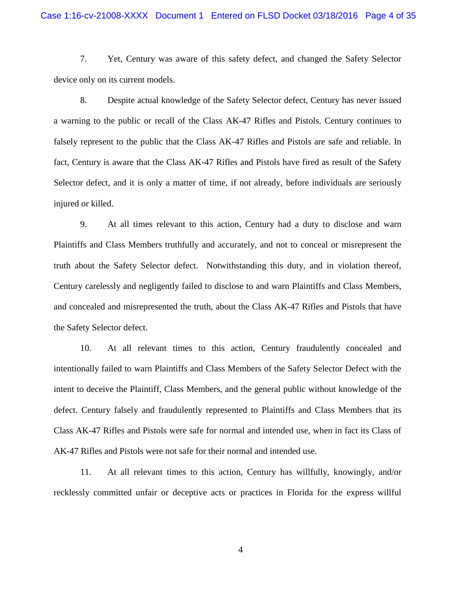## Case 1:16-cv-21008-XXXX Document 1 Entered on FLSD Docket 03/18/2016 Page 4 of 35

7. Yet, Century was aware of this safety defect, and changed the Safety Selector device only on its current models.

8. Despite actual knowledge of the Safety Selector defect, Century has never issued a warning to the public or recall of the Class AK-47 Rifles and Pistols. Century continues to falsely represent to the public that the Class AK-47 Rifles and Pistols are safe and reliable. In fact, Century is aware that the Class AK-47 Rifles and Pistols have fired as result of the Safety Selector defect, and it is only a matter of time, if not already, before individuals are seriously injured or killed.

9. At all times relevant to this action, Century had a duty to disclose and warn Plaintiffs and Class Members truthfully and accurately, and not to conceal or misrepresent the truth about the Safety Selector defect. Notwithstanding this duty, and in violation thereof, Century carelessly and negligently failed to disclose to and warn Plaintiffs and Class Members, and concealed and misrepresented the truth, about the Class AK-47 Rifles and Pistols that have the Safety Selector defect.

10. At all relevant times to this action, Century fraudulently concealed and intentionally failed to warn Plaintiffs and Class Members of the Safety Selector Defect with the intent to deceive the Plaintiff, Class Members, and the general public without knowledge of the defect. Century falsely and fraudulently represented to Plaintiffs and Class Members that its Class AK-47 Rifles and Pistols were safe for normal and intended use, when in fact its Class of AK-47 Rifles and Pistols were not safe for their normal and intended use.

11. At all relevant times to this action, Century has willfully, knowingly, and/or recklessly committed unfair or deceptive acts or practices in Florida for the express willful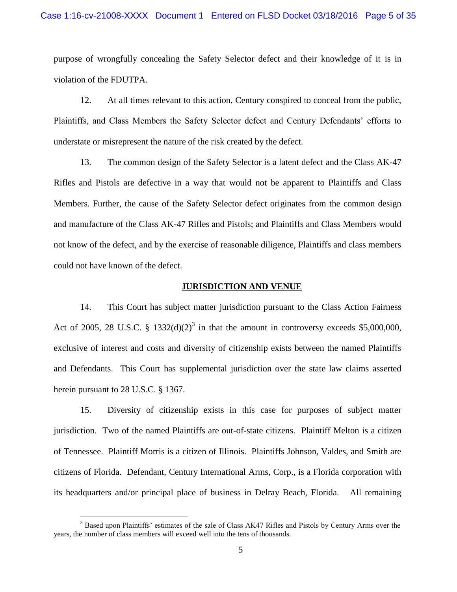purpose of wrongfully concealing the Safety Selector defect and their knowledge of it is in violation of the FDUTPA.

12. At all times relevant to this action, Century conspired to conceal from the public, Plaintiffs, and Class Members the Safety Selector defect and Century Defendants' efforts to understate or misrepresent the nature of the risk created by the defect.

13. The common design of the Safety Selector is a latent defect and the Class AK-47 Rifles and Pistols are defective in a way that would not be apparent to Plaintiffs and Class Members. Further, the cause of the Safety Selector defect originates from the common design and manufacture of the Class AK-47 Rifles and Pistols; and Plaintiffs and Class Members would not know of the defect, and by the exercise of reasonable diligence, Plaintiffs and class members could not have known of the defect.

# **JURISDICTION AND VENUE**

14. This Court has subject matter jurisdiction pursuant to the Class Action Fairness Act of 2005, 28 U.S.C. § 1332(d)(2)<sup>3</sup> in that the amount in controversy exceeds \$5,000,000, exclusive of interest and costs and diversity of citizenship exists between the named Plaintiffs and Defendants. This Court has supplemental jurisdiction over the state law claims asserted herein pursuant to 28 U.S.C. § 1367.

15. Diversity of citizenship exists in this case for purposes of subject matter jurisdiction. Two of the named Plaintiffs are out-of-state citizens. Plaintiff Melton is a citizen of Tennessee. Plaintiff Morris is a citizen of Illinois. Plaintiffs Johnson, Valdes, and Smith are citizens of Florida. Defendant, Century International Arms, Corp., is a Florida corporation with its headquarters and/or principal place of business in Delray Beach, Florida. All remaining

 $\overline{a}$ 

<sup>&</sup>lt;sup>3</sup> Based upon Plaintiffs' estimates of the sale of Class AK47 Rifles and Pistols by Century Arms over the years, the number of class members will exceed well into the tens of thousands.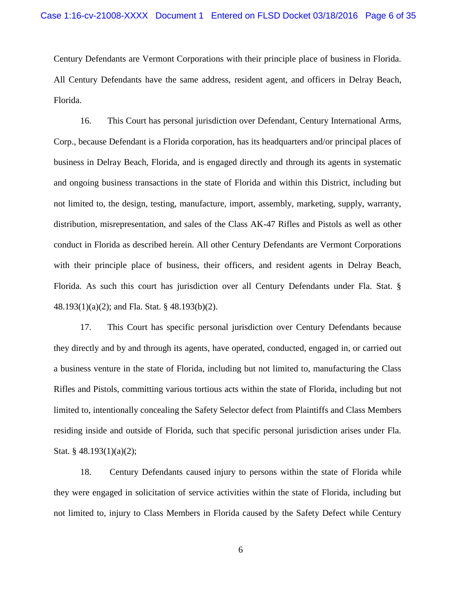Century Defendants are Vermont Corporations with their principle place of business in Florida. All Century Defendants have the same address, resident agent, and officers in Delray Beach, Florida.

16. This Court has personal jurisdiction over Defendant, Century International Arms, Corp., because Defendant is a Florida corporation, has its headquarters and/or principal places of business in Delray Beach, Florida, and is engaged directly and through its agents in systematic and ongoing business transactions in the state of Florida and within this District, including but not limited to, the design, testing, manufacture, import, assembly, marketing, supply, warranty, distribution, misrepresentation, and sales of the Class AK-47 Rifles and Pistols as well as other conduct in Florida as described herein. All other Century Defendants are Vermont Corporations with their principle place of business, their officers, and resident agents in Delray Beach, Florida. As such this court has jurisdiction over all Century Defendants under Fla. Stat. § 48.193(1)(a)(2); and Fla. Stat. § 48.193(b)(2).

17. This Court has specific personal jurisdiction over Century Defendants because they directly and by and through its agents, have operated, conducted, engaged in, or carried out a business venture in the state of Florida, including but not limited to, manufacturing the Class Rifles and Pistols, committing various tortious acts within the state of Florida, including but not limited to, intentionally concealing the Safety Selector defect from Plaintiffs and Class Members residing inside and outside of Florida, such that specific personal jurisdiction arises under Fla. Stat. § 48.193(1)(a)(2);

18. Century Defendants caused injury to persons within the state of Florida while they were engaged in solicitation of service activities within the state of Florida, including but not limited to, injury to Class Members in Florida caused by the Safety Defect while Century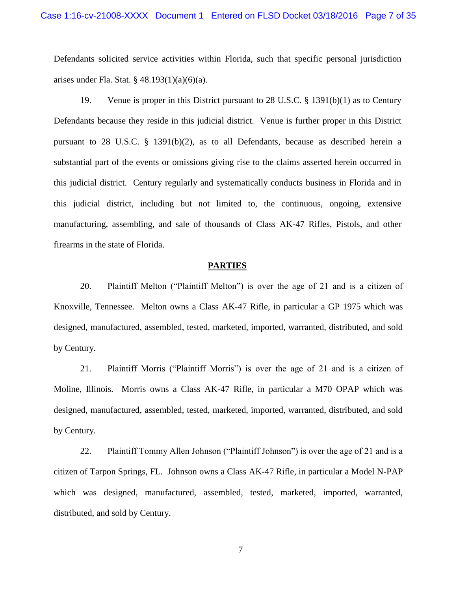Defendants solicited service activities within Florida, such that specific personal jurisdiction arises under Fla. Stat. § 48.193(1)(a)(6)(a).

19. Venue is proper in this District pursuant to 28 U.S.C. § 1391(b)(1) as to Century Defendants because they reside in this judicial district. Venue is further proper in this District pursuant to 28 U.S.C. § 1391(b)(2), as to all Defendants, because as described herein a substantial part of the events or omissions giving rise to the claims asserted herein occurred in this judicial district. Century regularly and systematically conducts business in Florida and in this judicial district, including but not limited to, the continuous, ongoing, extensive manufacturing, assembling, and sale of thousands of Class AK-47 Rifles, Pistols, and other firearms in the state of Florida.

### **PARTIES**

20. Plaintiff Melton ("Plaintiff Melton") is over the age of 21 and is a citizen of Knoxville, Tennessee. Melton owns a Class AK-47 Rifle, in particular a GP 1975 which was designed, manufactured, assembled, tested, marketed, imported, warranted, distributed, and sold by Century.

21. Plaintiff Morris ("Plaintiff Morris") is over the age of 21 and is a citizen of Moline, Illinois. Morris owns a Class AK-47 Rifle, in particular a M70 OPAP which was designed, manufactured, assembled, tested, marketed, imported, warranted, distributed, and sold by Century.

22. Plaintiff Tommy Allen Johnson ("Plaintiff Johnson") is over the age of 21 and is a citizen of Tarpon Springs, FL. Johnson owns a Class AK-47 Rifle, in particular a Model N-PAP which was designed, manufactured, assembled, tested, marketed, imported, warranted, distributed, and sold by Century.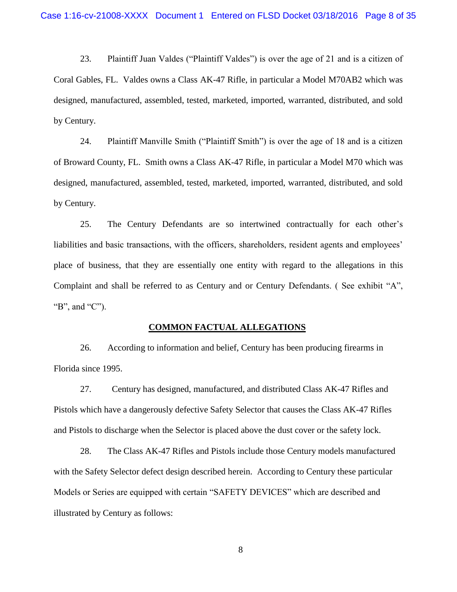23. Plaintiff Juan Valdes ("Plaintiff Valdes") is over the age of 21 and is a citizen of Coral Gables, FL. Valdes owns a Class AK-47 Rifle, in particular a Model M70AB2 which was designed, manufactured, assembled, tested, marketed, imported, warranted, distributed, and sold by Century.

24. Plaintiff Manville Smith ("Plaintiff Smith") is over the age of 18 and is a citizen of Broward County, FL. Smith owns a Class AK-47 Rifle, in particular a Model M70 which was designed, manufactured, assembled, tested, marketed, imported, warranted, distributed, and sold by Century.

25. The Century Defendants are so intertwined contractually for each other's liabilities and basic transactions, with the officers, shareholders, resident agents and employees' place of business, that they are essentially one entity with regard to the allegations in this Complaint and shall be referred to as Century and or Century Defendants. ( See exhibit "A", "B", and "C").

#### **COMMON FACTUAL ALLEGATIONS**

26. According to information and belief, Century has been producing firearms in Florida since 1995.

27. Century has designed, manufactured, and distributed Class AK-47 Rifles and Pistols which have a dangerously defective Safety Selector that causes the Class AK-47 Rifles and Pistols to discharge when the Selector is placed above the dust cover or the safety lock.

28. The Class AK-47 Rifles and Pistols include those Century models manufactured with the Safety Selector defect design described herein. According to Century these particular Models or Series are equipped with certain "SAFETY DEVICES" which are described and illustrated by Century as follows: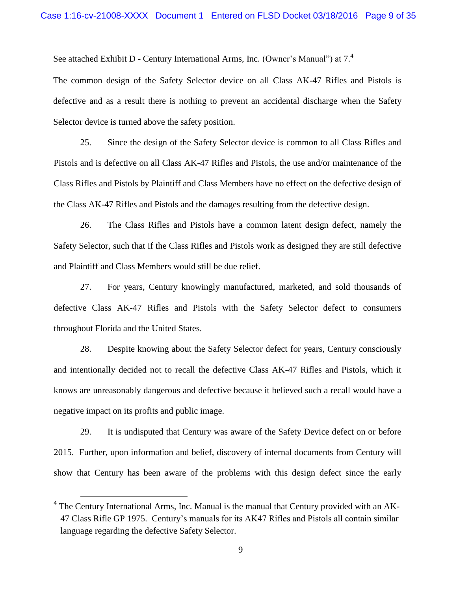See attached Exhibit D - Century International Arms, Inc. (Owner's Manual") at 7.<sup>4</sup>

The common design of the Safety Selector device on all Class AK-47 Rifles and Pistols is defective and as a result there is nothing to prevent an accidental discharge when the Safety Selector device is turned above the safety position.

25. Since the design of the Safety Selector device is common to all Class Rifles and Pistols and is defective on all Class AK-47 Rifles and Pistols, the use and/or maintenance of the Class Rifles and Pistols by Plaintiff and Class Members have no effect on the defective design of the Class AK-47 Rifles and Pistols and the damages resulting from the defective design.

26. The Class Rifles and Pistols have a common latent design defect, namely the Safety Selector, such that if the Class Rifles and Pistols work as designed they are still defective and Plaintiff and Class Members would still be due relief.

27. For years, Century knowingly manufactured, marketed, and sold thousands of defective Class AK-47 Rifles and Pistols with the Safety Selector defect to consumers throughout Florida and the United States.

28. Despite knowing about the Safety Selector defect for years, Century consciously and intentionally decided not to recall the defective Class AK-47 Rifles and Pistols, which it knows are unreasonably dangerous and defective because it believed such a recall would have a negative impact on its profits and public image.

29. It is undisputed that Century was aware of the Safety Device defect on or before 2015. Further, upon information and belief, discovery of internal documents from Century will show that Century has been aware of the problems with this design defect since the early

 $\overline{a}$ 

 $4$  The Century International Arms, Inc. Manual is the manual that Century provided with an AK-47 Class Rifle GP 1975. Century's manuals for its AK47 Rifles and Pistols all contain similar language regarding the defective Safety Selector.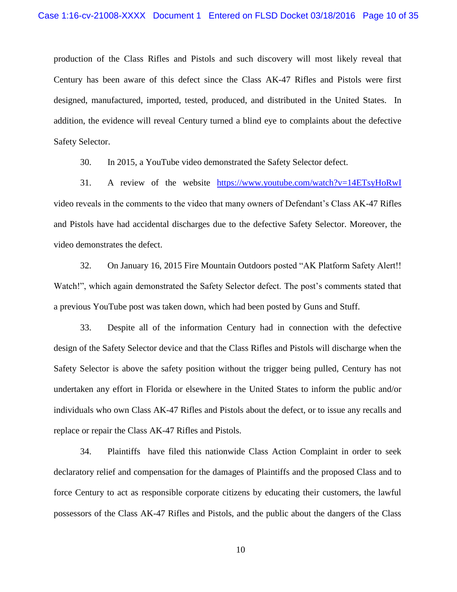production of the Class Rifles and Pistols and such discovery will most likely reveal that Century has been aware of this defect since the Class AK-47 Rifles and Pistols were first designed, manufactured, imported, tested, produced, and distributed in the United States. In addition, the evidence will reveal Century turned a blind eye to complaints about the defective Safety Selector.

30. In 2015, a YouTube video demonstrated the Safety Selector defect.

31. A review of the website <https://www.youtube.com/watch?v=14ETsyHoRwI> video reveals in the comments to the video that many owners of Defendant's Class AK-47 Rifles and Pistols have had accidental discharges due to the defective Safety Selector. Moreover, the video demonstrates the defect.

32. On January 16, 2015 Fire Mountain Outdoors posted "AK Platform Safety Alert!! Watch!", which again demonstrated the Safety Selector defect. The post's comments stated that a previous YouTube post was taken down, which had been posted by Guns and Stuff.

33. Despite all of the information Century had in connection with the defective design of the Safety Selector device and that the Class Rifles and Pistols will discharge when the Safety Selector is above the safety position without the trigger being pulled, Century has not undertaken any effort in Florida or elsewhere in the United States to inform the public and/or individuals who own Class AK-47 Rifles and Pistols about the defect, or to issue any recalls and replace or repair the Class AK-47 Rifles and Pistols.

34. Plaintiffs have filed this nationwide Class Action Complaint in order to seek declaratory relief and compensation for the damages of Plaintiffs and the proposed Class and to force Century to act as responsible corporate citizens by educating their customers, the lawful possessors of the Class AK-47 Rifles and Pistols, and the public about the dangers of the Class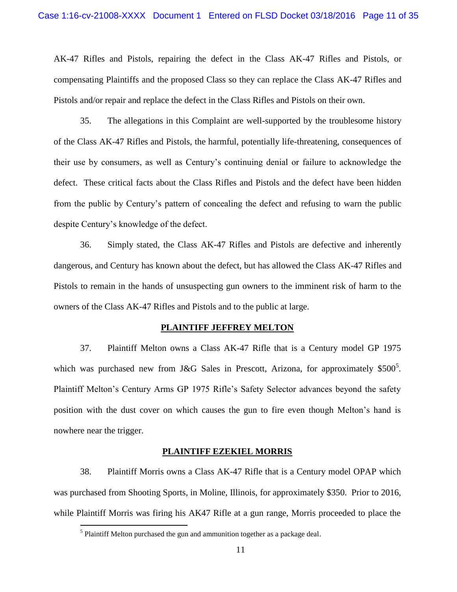AK-47 Rifles and Pistols, repairing the defect in the Class AK-47 Rifles and Pistols, or compensating Plaintiffs and the proposed Class so they can replace the Class AK-47 Rifles and Pistols and/or repair and replace the defect in the Class Rifles and Pistols on their own.

35. The allegations in this Complaint are well-supported by the troublesome history of the Class AK-47 Rifles and Pistols, the harmful, potentially life-threatening, consequences of their use by consumers, as well as Century's continuing denial or failure to acknowledge the defect. These critical facts about the Class Rifles and Pistols and the defect have been hidden from the public by Century's pattern of concealing the defect and refusing to warn the public despite Century's knowledge of the defect.

36. Simply stated, the Class AK-47 Rifles and Pistols are defective and inherently dangerous, and Century has known about the defect, but has allowed the Class AK-47 Rifles and Pistols to remain in the hands of unsuspecting gun owners to the imminent risk of harm to the owners of the Class AK-47 Rifles and Pistols and to the public at large.

#### **PLAINTIFF JEFFREY MELTON**

37. Plaintiff Melton owns a Class AK-47 Rifle that is a Century model GP 1975 which was purchased new from J&G Sales in Prescott, Arizona, for approximately \$500<sup>5</sup>. Plaintiff Melton's Century Arms GP 1975 Rifle's Safety Selector advances beyond the safety position with the dust cover on which causes the gun to fire even though Melton's hand is nowhere near the trigger.

#### **PLAINTIFF EZEKIEL MORRIS**

38. Plaintiff Morris owns a Class AK-47 Rifle that is a Century model OPAP which was purchased from Shooting Sports, in Moline, Illinois, for approximately \$350. Prior to 2016, while Plaintiff Morris was firing his AK47 Rifle at a gun range, Morris proceeded to place the

 $\overline{a}$ 

 $<sup>5</sup>$  Plaintiff Melton purchased the gun and ammunition together as a package deal.</sup>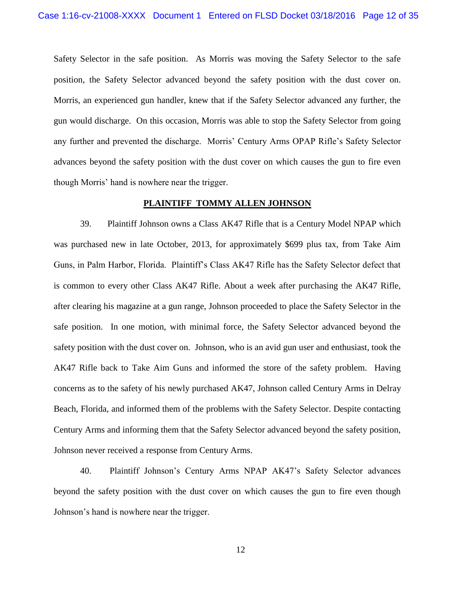Safety Selector in the safe position. As Morris was moving the Safety Selector to the safe position, the Safety Selector advanced beyond the safety position with the dust cover on. Morris, an experienced gun handler, knew that if the Safety Selector advanced any further, the gun would discharge. On this occasion, Morris was able to stop the Safety Selector from going any further and prevented the discharge. Morris' Century Arms OPAP Rifle's Safety Selector advances beyond the safety position with the dust cover on which causes the gun to fire even though Morris' hand is nowhere near the trigger.

### **PLAINTIFF TOMMY ALLEN JOHNSON**

39. Plaintiff Johnson owns a Class AK47 Rifle that is a Century Model NPAP which was purchased new in late October, 2013, for approximately \$699 plus tax, from Take Aim Guns, in Palm Harbor, Florida. Plaintiff's Class AK47 Rifle has the Safety Selector defect that is common to every other Class AK47 Rifle. About a week after purchasing the AK47 Rifle, after clearing his magazine at a gun range, Johnson proceeded to place the Safety Selector in the safe position. In one motion, with minimal force, the Safety Selector advanced beyond the safety position with the dust cover on. Johnson, who is an avid gun user and enthusiast, took the AK47 Rifle back to Take Aim Guns and informed the store of the safety problem. Having concerns as to the safety of his newly purchased AK47, Johnson called Century Arms in Delray Beach, Florida, and informed them of the problems with the Safety Selector. Despite contacting Century Arms and informing them that the Safety Selector advanced beyond the safety position, Johnson never received a response from Century Arms.

40. Plaintiff Johnson's Century Arms NPAP AK47's Safety Selector advances beyond the safety position with the dust cover on which causes the gun to fire even though Johnson's hand is nowhere near the trigger.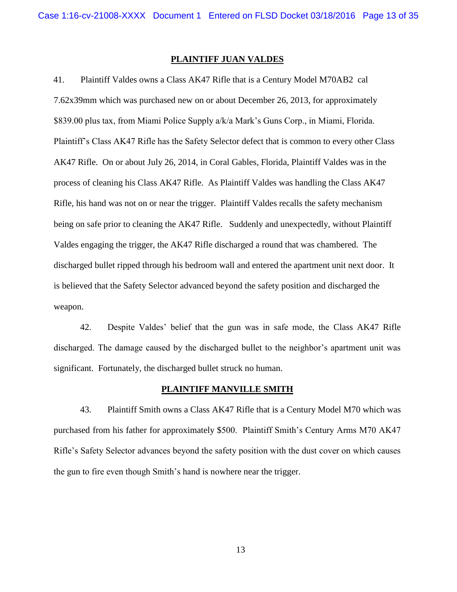# **PLAINTIFF JUAN VALDES**

41. Plaintiff Valdes owns a Class AK47 Rifle that is a Century Model M70AB2 cal 7.62x39mm which was purchased new on or about December 26, 2013, for approximately \$839.00 plus tax, from Miami Police Supply a/k/a Mark's Guns Corp., in Miami, Florida. Plaintiff's Class AK47 Rifle has the Safety Selector defect that is common to every other Class AK47 Rifle. On or about July 26, 2014, in Coral Gables, Florida, Plaintiff Valdes was in the process of cleaning his Class AK47 Rifle. As Plaintiff Valdes was handling the Class AK47 Rifle, his hand was not on or near the trigger. Plaintiff Valdes recalls the safety mechanism being on safe prior to cleaning the AK47 Rifle. Suddenly and unexpectedly, without Plaintiff Valdes engaging the trigger, the AK47 Rifle discharged a round that was chambered. The discharged bullet ripped through his bedroom wall and entered the apartment unit next door. It is believed that the Safety Selector advanced beyond the safety position and discharged the weapon.

42. Despite Valdes' belief that the gun was in safe mode, the Class AK47 Rifle discharged. The damage caused by the discharged bullet to the neighbor's apartment unit was significant. Fortunately, the discharged bullet struck no human.

# **PLAINTIFF MANVILLE SMITH**

43. Plaintiff Smith owns a Class AK47 Rifle that is a Century Model M70 which was purchased from his father for approximately \$500. Plaintiff Smith's Century Arms M70 AK47 Rifle's Safety Selector advances beyond the safety position with the dust cover on which causes the gun to fire even though Smith's hand is nowhere near the trigger.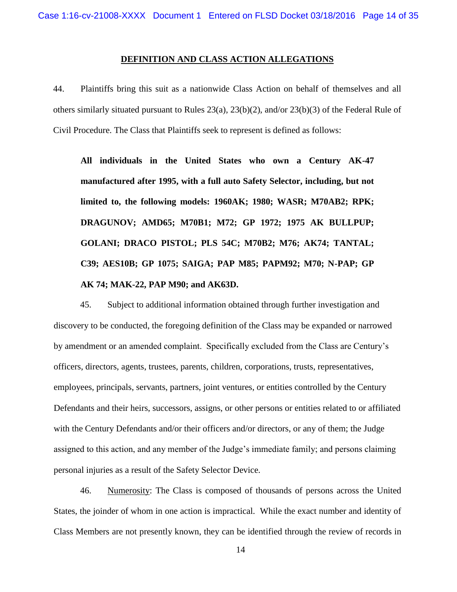# **DEFINITION AND CLASS ACTION ALLEGATIONS**

44. Plaintiffs bring this suit as a nationwide Class Action on behalf of themselves and all others similarly situated pursuant to Rules 23(a), 23(b)(2), and/or 23(b)(3) of the Federal Rule of Civil Procedure. The Class that Plaintiffs seek to represent is defined as follows:

**All individuals in the United States who own a Century AK-47 manufactured after 1995, with a full auto Safety Selector, including, but not limited to, the following models: 1960AK; 1980; WASR; M70AB2; RPK; DRAGUNOV; AMD65; M70B1; M72; GP 1972; 1975 AK BULLPUP; GOLANI; DRACO PISTOL; PLS 54C; M70B2; M76; AK74; TANTAL; C39; AES10B; GP 1075; SAIGA; PAP M85; PAPM92; M70; N-PAP; GP AK 74; MAK-22, PAP M90; and AK63D.**

45. Subject to additional information obtained through further investigation and discovery to be conducted, the foregoing definition of the Class may be expanded or narrowed by amendment or an amended complaint. Specifically excluded from the Class are Century's officers, directors, agents, trustees, parents, children, corporations, trusts, representatives, employees, principals, servants, partners, joint ventures, or entities controlled by the Century Defendants and their heirs, successors, assigns, or other persons or entities related to or affiliated with the Century Defendants and/or their officers and/or directors, or any of them; the Judge assigned to this action, and any member of the Judge's immediate family; and persons claiming personal injuries as a result of the Safety Selector Device.

46. Numerosity: The Class is composed of thousands of persons across the United States, the joinder of whom in one action is impractical. While the exact number and identity of Class Members are not presently known, they can be identified through the review of records in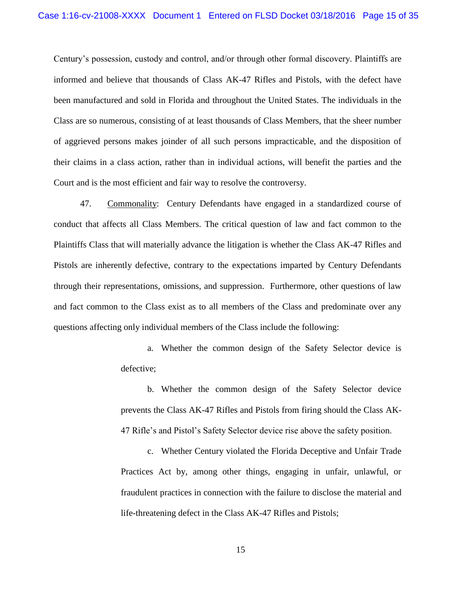Century's possession, custody and control, and/or through other formal discovery. Plaintiffs are informed and believe that thousands of Class AK-47 Rifles and Pistols, with the defect have been manufactured and sold in Florida and throughout the United States. The individuals in the Class are so numerous, consisting of at least thousands of Class Members, that the sheer number of aggrieved persons makes joinder of all such persons impracticable, and the disposition of their claims in a class action, rather than in individual actions, will benefit the parties and the Court and is the most efficient and fair way to resolve the controversy.

47. Commonality: Century Defendants have engaged in a standardized course of conduct that affects all Class Members. The critical question of law and fact common to the Plaintiffs Class that will materially advance the litigation is whether the Class AK-47 Rifles and Pistols are inherently defective, contrary to the expectations imparted by Century Defendants through their representations, omissions, and suppression. Furthermore, other questions of law and fact common to the Class exist as to all members of the Class and predominate over any questions affecting only individual members of the Class include the following:

> a. Whether the common design of the Safety Selector device is defective;

> b. Whether the common design of the Safety Selector device prevents the Class AK-47 Rifles and Pistols from firing should the Class AK-47 Rifle's and Pistol's Safety Selector device rise above the safety position.

> c. Whether Century violated the Florida Deceptive and Unfair Trade Practices Act by, among other things, engaging in unfair, unlawful, or fraudulent practices in connection with the failure to disclose the material and life-threatening defect in the Class AK-47 Rifles and Pistols;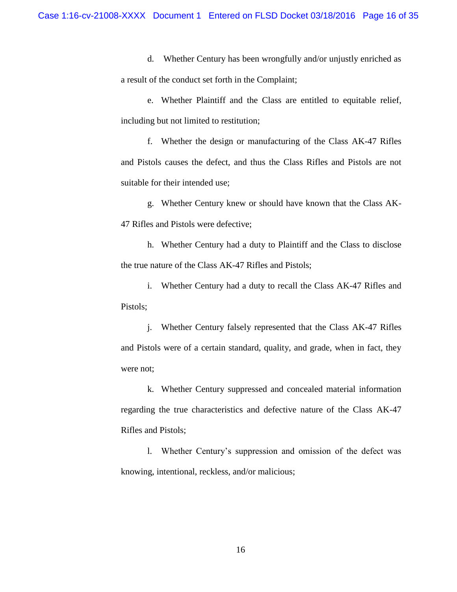d. Whether Century has been wrongfully and/or unjustly enriched as a result of the conduct set forth in the Complaint;

e. Whether Plaintiff and the Class are entitled to equitable relief, including but not limited to restitution;

f. Whether the design or manufacturing of the Class AK-47 Rifles and Pistols causes the defect, and thus the Class Rifles and Pistols are not suitable for their intended use;

g. Whether Century knew or should have known that the Class AK-47 Rifles and Pistols were defective;

h. Whether Century had a duty to Plaintiff and the Class to disclose the true nature of the Class AK-47 Rifles and Pistols;

i. Whether Century had a duty to recall the Class AK-47 Rifles and Pistols;

j. Whether Century falsely represented that the Class AK-47 Rifles and Pistols were of a certain standard, quality, and grade, when in fact, they were not;

k. Whether Century suppressed and concealed material information regarding the true characteristics and defective nature of the Class AK-47 Rifles and Pistols;

l. Whether Century's suppression and omission of the defect was knowing, intentional, reckless, and/or malicious;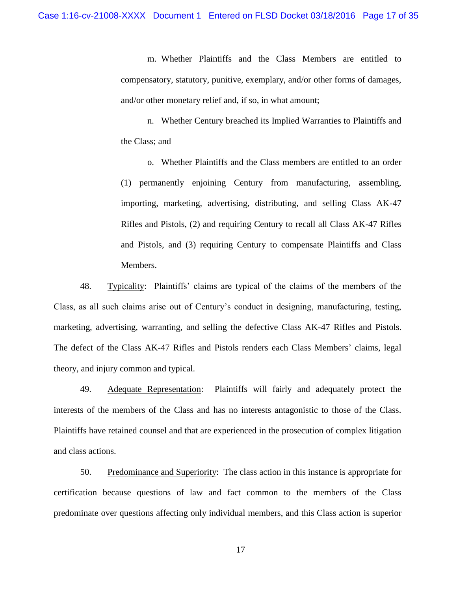m. Whether Plaintiffs and the Class Members are entitled to compensatory, statutory, punitive, exemplary, and/or other forms of damages, and/or other monetary relief and, if so, in what amount;

n. Whether Century breached its Implied Warranties to Plaintiffs and the Class; and

o. Whether Plaintiffs and the Class members are entitled to an order (1) permanently enjoining Century from manufacturing, assembling, importing, marketing, advertising, distributing, and selling Class AK-47 Rifles and Pistols, (2) and requiring Century to recall all Class AK-47 Rifles and Pistols, and (3) requiring Century to compensate Plaintiffs and Class Members.

48. Typicality: Plaintiffs' claims are typical of the claims of the members of the Class, as all such claims arise out of Century's conduct in designing, manufacturing, testing, marketing, advertising, warranting, and selling the defective Class AK-47 Rifles and Pistols. The defect of the Class AK-47 Rifles and Pistols renders each Class Members' claims, legal theory, and injury common and typical.

49. Adequate Representation: Plaintiffs will fairly and adequately protect the interests of the members of the Class and has no interests antagonistic to those of the Class. Plaintiffs have retained counsel and that are experienced in the prosecution of complex litigation and class actions.

50. Predominance and Superiority: The class action in this instance is appropriate for certification because questions of law and fact common to the members of the Class predominate over questions affecting only individual members, and this Class action is superior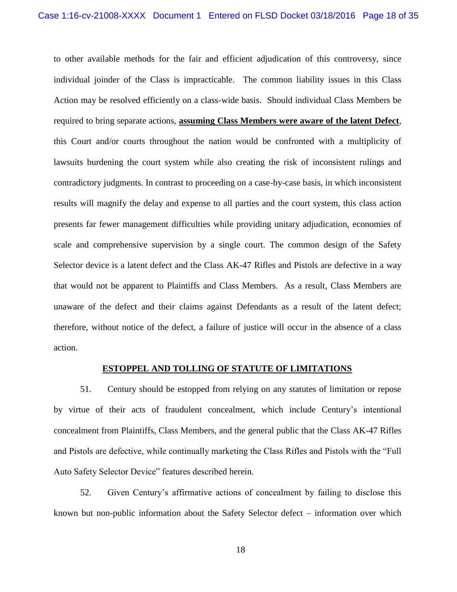to other available methods for the fair and efficient adjudication of this controversy, since individual joinder of the Class is impracticable. The common liability issues in this Class Action may be resolved efficiently on a class-wide basis. Should individual Class Members be required to bring separate actions, **assuming Class Members were aware of the latent Defect**, this Court and/or courts throughout the nation would be confronted with a multiplicity of lawsuits burdening the court system while also creating the risk of inconsistent rulings and contradictory judgments. In contrast to proceeding on a case-by-case basis, in which inconsistent results will magnify the delay and expense to all parties and the court system, this class action presents far fewer management difficulties while providing unitary adjudication, economies of scale and comprehensive supervision by a single court. The common design of the Safety Selector device is a latent defect and the Class AK-47 Rifles and Pistols are defective in a way that would not be apparent to Plaintiffs and Class Members. As a result, Class Members are unaware of the defect and their claims against Defendants as a result of the latent defect; therefore, without notice of the defect, a failure of justice will occur in the absence of a class action.

### **ESTOPPEL AND TOLLING OF STATUTE OF LIMITATIONS**

51. Century should be estopped from relying on any statutes of limitation or repose by virtue of their acts of fraudulent concealment, which include Century's intentional concealment from Plaintiffs, Class Members, and the general public that the Class AK-47 Rifles and Pistols are defective, while continually marketing the Class Rifles and Pistols with the "Full Auto Safety Selector Device" features described herein.

52. Given Century's affirmative actions of concealment by failing to disclose this known but non-public information about the Safety Selector defect – information over which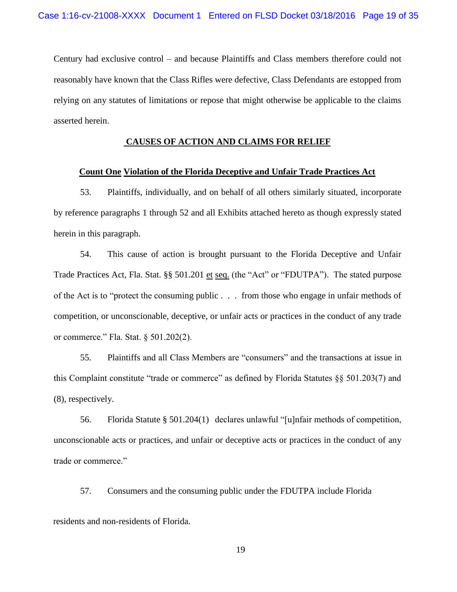Century had exclusive control – and because Plaintiffs and Class members therefore could not reasonably have known that the Class Rifles were defective, Class Defendants are estopped from relying on any statutes of limitations or repose that might otherwise be applicable to the claims asserted herein.

# **CAUSES OF ACTION AND CLAIMS FOR RELIEF**

### **Count One Violation of the Florida Deceptive and Unfair Trade Practices Act**

53. Plaintiffs, individually, and on behalf of all others similarly situated, incorporate by reference paragraphs 1 through 52 and all Exhibits attached hereto as though expressly stated herein in this paragraph.

54. This cause of action is brought pursuant to the Florida Deceptive and Unfair Trade Practices Act, Fla. Stat. §§ 501.201 et seq. (the "Act" or "FDUTPA"). The stated purpose of the Act is to "protect the consuming public . . . from those who engage in unfair methods of competition, or unconscionable, deceptive, or unfair acts or practices in the conduct of any trade or commerce." Fla. Stat. § 501.202(2).

55. Plaintiffs and all Class Members are "consumers" and the transactions at issue in this Complaint constitute "trade or commerce" as defined by Florida Statutes §§ 501.203(7) and (8), respectively.

56. Florida Statute § 501.204(1) declares unlawful "[u]nfair methods of competition, unconscionable acts or practices, and unfair or deceptive acts or practices in the conduct of any trade or commerce."

57. Consumers and the consuming public under the FDUTPA include Florida

residents and non-residents of Florida.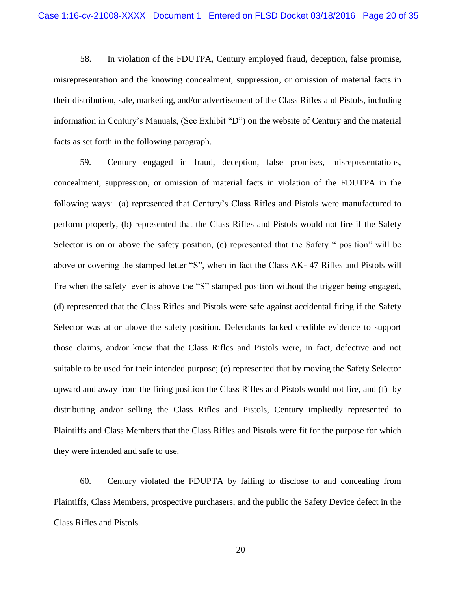58. In violation of the FDUTPA, Century employed fraud, deception, false promise, misrepresentation and the knowing concealment, suppression, or omission of material facts in their distribution, sale, marketing, and/or advertisement of the Class Rifles and Pistols, including information in Century's Manuals, (See Exhibit "D") on the website of Century and the material facts as set forth in the following paragraph.

59. Century engaged in fraud, deception, false promises, misrepresentations, concealment, suppression, or omission of material facts in violation of the FDUTPA in the following ways: (a) represented that Century's Class Rifles and Pistols were manufactured to perform properly, (b) represented that the Class Rifles and Pistols would not fire if the Safety Selector is on or above the safety position, (c) represented that the Safety " position" will be above or covering the stamped letter "S", when in fact the Class AK- 47 Rifles and Pistols will fire when the safety lever is above the "S" stamped position without the trigger being engaged, (d) represented that the Class Rifles and Pistols were safe against accidental firing if the Safety Selector was at or above the safety position. Defendants lacked credible evidence to support those claims, and/or knew that the Class Rifles and Pistols were, in fact, defective and not suitable to be used for their intended purpose; (e) represented that by moving the Safety Selector upward and away from the firing position the Class Rifles and Pistols would not fire, and (f) by distributing and/or selling the Class Rifles and Pistols, Century impliedly represented to Plaintiffs and Class Members that the Class Rifles and Pistols were fit for the purpose for which they were intended and safe to use.

60. Century violated the FDUPTA by failing to disclose to and concealing from Plaintiffs, Class Members, prospective purchasers, and the public the Safety Device defect in the Class Rifles and Pistols.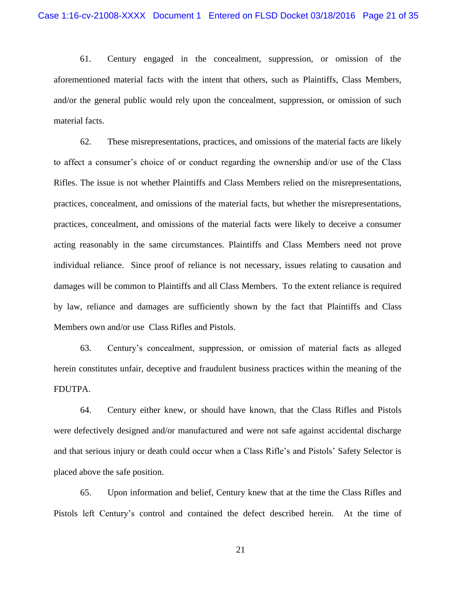61. Century engaged in the concealment, suppression, or omission of the aforementioned material facts with the intent that others, such as Plaintiffs, Class Members, and/or the general public would rely upon the concealment, suppression, or omission of such material facts.

62. These misrepresentations, practices, and omissions of the material facts are likely to affect a consumer's choice of or conduct regarding the ownership and/or use of the Class Rifles. The issue is not whether Plaintiffs and Class Members relied on the misrepresentations, practices, concealment, and omissions of the material facts, but whether the misrepresentations, practices, concealment, and omissions of the material facts were likely to deceive a consumer acting reasonably in the same circumstances. Plaintiffs and Class Members need not prove individual reliance. Since proof of reliance is not necessary, issues relating to causation and damages will be common to Plaintiffs and all Class Members. To the extent reliance is required by law, reliance and damages are sufficiently shown by the fact that Plaintiffs and Class Members own and/or use Class Rifles and Pistols.

63. Century's concealment, suppression, or omission of material facts as alleged herein constitutes unfair, deceptive and fraudulent business practices within the meaning of the FDUTPA.

64. Century either knew, or should have known, that the Class Rifles and Pistols were defectively designed and/or manufactured and were not safe against accidental discharge and that serious injury or death could occur when a Class Rifle's and Pistols' Safety Selector is placed above the safe position.

65. Upon information and belief, Century knew that at the time the Class Rifles and Pistols left Century's control and contained the defect described herein. At the time of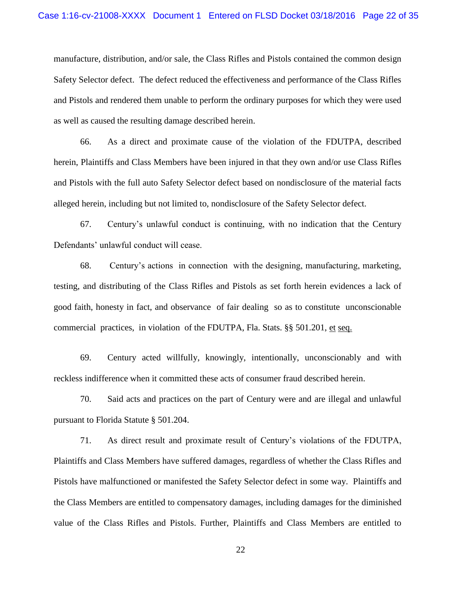manufacture, distribution, and/or sale, the Class Rifles and Pistols contained the common design Safety Selector defect. The defect reduced the effectiveness and performance of the Class Rifles and Pistols and rendered them unable to perform the ordinary purposes for which they were used as well as caused the resulting damage described herein.

66. As a direct and proximate cause of the violation of the FDUTPA, described herein, Plaintiffs and Class Members have been injured in that they own and/or use Class Rifles and Pistols with the full auto Safety Selector defect based on nondisclosure of the material facts alleged herein, including but not limited to, nondisclosure of the Safety Selector defect.

67. Century's unlawful conduct is continuing, with no indication that the Century Defendants' unlawful conduct will cease.

68. Century's actions in connection with the designing, manufacturing, marketing, testing, and distributing of the Class Rifles and Pistols as set forth herein evidences a lack of good faith, honesty in fact, and observance of fair dealing so as to constitute unconscionable commercial practices, in violation of the FDUTPA, Fla. Stats.  $\S$ § 501.201, et seq.

69. Century acted willfully, knowingly, intentionally, unconscionably and with reckless indifference when it committed these acts of consumer fraud described herein.

70. Said acts and practices on the part of Century were and are illegal and unlawful pursuant to Florida Statute § 501.204.

71. As direct result and proximate result of Century's violations of the FDUTPA, Plaintiffs and Class Members have suffered damages, regardless of whether the Class Rifles and Pistols have malfunctioned or manifested the Safety Selector defect in some way. Plaintiffs and the Class Members are entitled to compensatory damages, including damages for the diminished value of the Class Rifles and Pistols. Further, Plaintiffs and Class Members are entitled to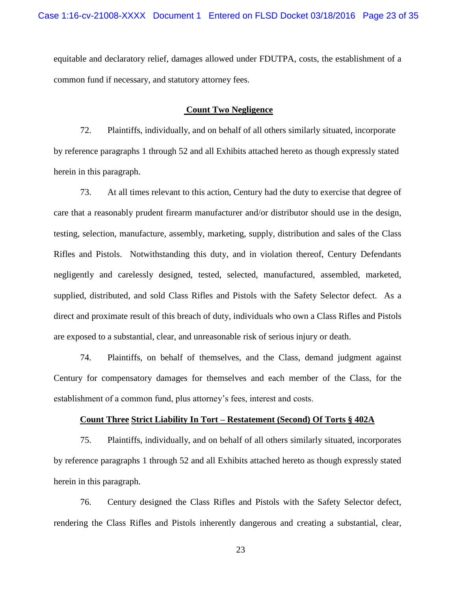equitable and declaratory relief, damages allowed under FDUTPA, costs, the establishment of a common fund if necessary, and statutory attorney fees.

### **Count Two Negligence**

72. Plaintiffs, individually, and on behalf of all others similarly situated, incorporate by reference paragraphs 1 through 52 and all Exhibits attached hereto as though expressly stated herein in this paragraph.

73. At all times relevant to this action, Century had the duty to exercise that degree of care that a reasonably prudent firearm manufacturer and/or distributor should use in the design, testing, selection, manufacture, assembly, marketing, supply, distribution and sales of the Class Rifles and Pistols. Notwithstanding this duty, and in violation thereof, Century Defendants negligently and carelessly designed, tested, selected, manufactured, assembled, marketed, supplied, distributed, and sold Class Rifles and Pistols with the Safety Selector defect. As a direct and proximate result of this breach of duty, individuals who own a Class Rifles and Pistols are exposed to a substantial, clear, and unreasonable risk of serious injury or death.

74. Plaintiffs, on behalf of themselves, and the Class, demand judgment against Century for compensatory damages for themselves and each member of the Class, for the establishment of a common fund, plus attorney's fees, interest and costs.

# **Count Three Strict Liability In Tort – Restatement (Second) Of Torts § 402A**

75. Plaintiffs, individually, and on behalf of all others similarly situated, incorporates by reference paragraphs 1 through 52 and all Exhibits attached hereto as though expressly stated herein in this paragraph.

76. Century designed the Class Rifles and Pistols with the Safety Selector defect, rendering the Class Rifles and Pistols inherently dangerous and creating a substantial, clear,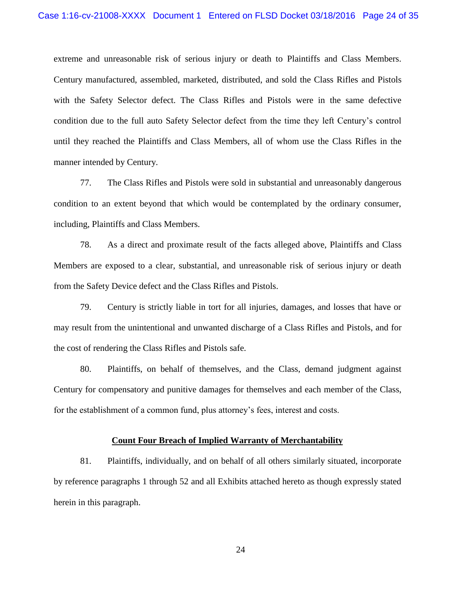extreme and unreasonable risk of serious injury or death to Plaintiffs and Class Members. Century manufactured, assembled, marketed, distributed, and sold the Class Rifles and Pistols with the Safety Selector defect. The Class Rifles and Pistols were in the same defective condition due to the full auto Safety Selector defect from the time they left Century's control until they reached the Plaintiffs and Class Members, all of whom use the Class Rifles in the manner intended by Century.

77. The Class Rifles and Pistols were sold in substantial and unreasonably dangerous condition to an extent beyond that which would be contemplated by the ordinary consumer, including, Plaintiffs and Class Members.

78. As a direct and proximate result of the facts alleged above, Plaintiffs and Class Members are exposed to a clear, substantial, and unreasonable risk of serious injury or death from the Safety Device defect and the Class Rifles and Pistols.

79. Century is strictly liable in tort for all injuries, damages, and losses that have or may result from the unintentional and unwanted discharge of a Class Rifles and Pistols, and for the cost of rendering the Class Rifles and Pistols safe.

80. Plaintiffs, on behalf of themselves, and the Class, demand judgment against Century for compensatory and punitive damages for themselves and each member of the Class, for the establishment of a common fund, plus attorney's fees, interest and costs.

### **Count Four Breach of Implied Warranty of Merchantability**

81. Plaintiffs, individually, and on behalf of all others similarly situated, incorporate by reference paragraphs 1 through 52 and all Exhibits attached hereto as though expressly stated herein in this paragraph.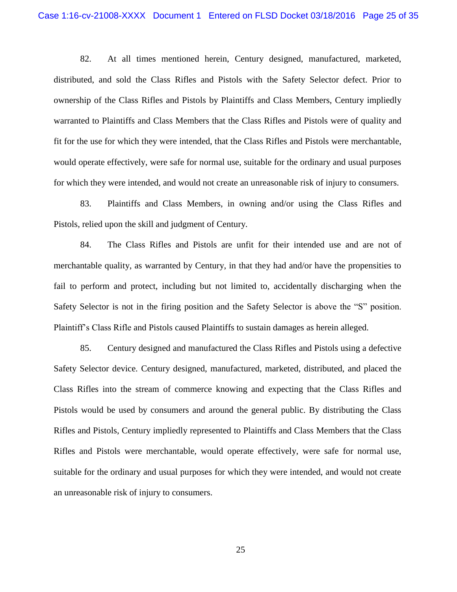82. At all times mentioned herein, Century designed, manufactured, marketed, distributed, and sold the Class Rifles and Pistols with the Safety Selector defect. Prior to ownership of the Class Rifles and Pistols by Plaintiffs and Class Members, Century impliedly warranted to Plaintiffs and Class Members that the Class Rifles and Pistols were of quality and fit for the use for which they were intended, that the Class Rifles and Pistols were merchantable, would operate effectively, were safe for normal use, suitable for the ordinary and usual purposes for which they were intended, and would not create an unreasonable risk of injury to consumers.

83. Plaintiffs and Class Members, in owning and/or using the Class Rifles and Pistols, relied upon the skill and judgment of Century.

84. The Class Rifles and Pistols are unfit for their intended use and are not of merchantable quality, as warranted by Century, in that they had and/or have the propensities to fail to perform and protect, including but not limited to, accidentally discharging when the Safety Selector is not in the firing position and the Safety Selector is above the "S" position. Plaintiff's Class Rifle and Pistols caused Plaintiffs to sustain damages as herein alleged.

85. Century designed and manufactured the Class Rifles and Pistols using a defective Safety Selector device. Century designed, manufactured, marketed, distributed, and placed the Class Rifles into the stream of commerce knowing and expecting that the Class Rifles and Pistols would be used by consumers and around the general public. By distributing the Class Rifles and Pistols, Century impliedly represented to Plaintiffs and Class Members that the Class Rifles and Pistols were merchantable, would operate effectively, were safe for normal use, suitable for the ordinary and usual purposes for which they were intended, and would not create an unreasonable risk of injury to consumers.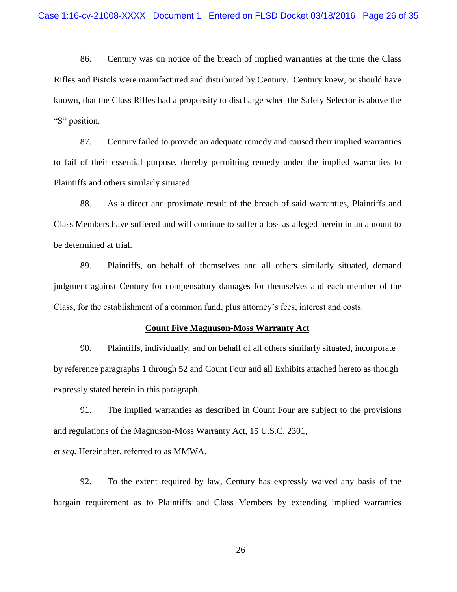86. Century was on notice of the breach of implied warranties at the time the Class Rifles and Pistols were manufactured and distributed by Century. Century knew, or should have known, that the Class Rifles had a propensity to discharge when the Safety Selector is above the "S" position.

87. Century failed to provide an adequate remedy and caused their implied warranties to fail of their essential purpose, thereby permitting remedy under the implied warranties to Plaintiffs and others similarly situated.

88. As a direct and proximate result of the breach of said warranties, Plaintiffs and Class Members have suffered and will continue to suffer a loss as alleged herein in an amount to be determined at trial.

89. Plaintiffs, on behalf of themselves and all others similarly situated, demand judgment against Century for compensatory damages for themselves and each member of the Class, for the establishment of a common fund, plus attorney's fees, interest and costs.

#### **Count Five Magnuson-Moss Warranty Act**

90. Plaintiffs, individually, and on behalf of all others similarly situated, incorporate by reference paragraphs 1 through 52 and Count Four and all Exhibits attached hereto as though expressly stated herein in this paragraph.

91. The implied warranties as described in Count Four are subject to the provisions and regulations of the Magnuson-Moss Warranty Act, 15 U.S.C. 2301, *et seq.* Hereinafter, referred to as MMWA.

92. To the extent required by law, Century has expressly waived any basis of the bargain requirement as to Plaintiffs and Class Members by extending implied warranties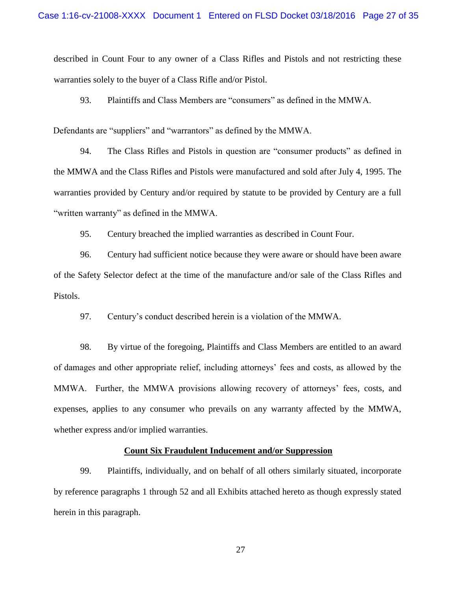described in Count Four to any owner of a Class Rifles and Pistols and not restricting these warranties solely to the buyer of a Class Rifle and/or Pistol.

93. Plaintiffs and Class Members are "consumers" as defined in the MMWA.

Defendants are "suppliers" and "warrantors" as defined by the MMWA.

94. The Class Rifles and Pistols in question are "consumer products" as defined in the MMWA and the Class Rifles and Pistols were manufactured and sold after July 4, 1995. The warranties provided by Century and/or required by statute to be provided by Century are a full "written warranty" as defined in the MMWA.

95. Century breached the implied warranties as described in Count Four.

96. Century had sufficient notice because they were aware or should have been aware of the Safety Selector defect at the time of the manufacture and/or sale of the Class Rifles and Pistols.

97. Century's conduct described herein is a violation of the MMWA.

98. By virtue of the foregoing, Plaintiffs and Class Members are entitled to an award of damages and other appropriate relief, including attorneys' fees and costs, as allowed by the MMWA. Further, the MMWA provisions allowing recovery of attorneys' fees, costs, and expenses, applies to any consumer who prevails on any warranty affected by the MMWA, whether express and/or implied warranties.

## **Count Six Fraudulent Inducement and/or Suppression**

99. Plaintiffs, individually, and on behalf of all others similarly situated, incorporate by reference paragraphs 1 through 52 and all Exhibits attached hereto as though expressly stated herein in this paragraph.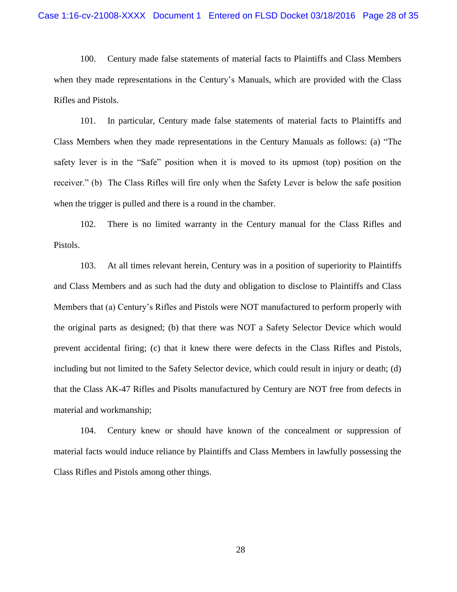100. Century made false statements of material facts to Plaintiffs and Class Members when they made representations in the Century's Manuals, which are provided with the Class Rifles and Pistols.

101. In particular, Century made false statements of material facts to Plaintiffs and Class Members when they made representations in the Century Manuals as follows: (a) "The safety lever is in the "Safe" position when it is moved to its upmost (top) position on the receiver." (b) The Class Rifles will fire only when the Safety Lever is below the safe position when the trigger is pulled and there is a round in the chamber.

102. There is no limited warranty in the Century manual for the Class Rifles and Pistols.

103. At all times relevant herein, Century was in a position of superiority to Plaintiffs and Class Members and as such had the duty and obligation to disclose to Plaintiffs and Class Members that (a) Century's Rifles and Pistols were NOT manufactured to perform properly with the original parts as designed; (b) that there was NOT a Safety Selector Device which would prevent accidental firing; (c) that it knew there were defects in the Class Rifles and Pistols, including but not limited to the Safety Selector device, which could result in injury or death; (d) that the Class AK-47 Rifles and Pisolts manufactured by Century are NOT free from defects in material and workmanship;

104. Century knew or should have known of the concealment or suppression of material facts would induce reliance by Plaintiffs and Class Members in lawfully possessing the Class Rifles and Pistols among other things.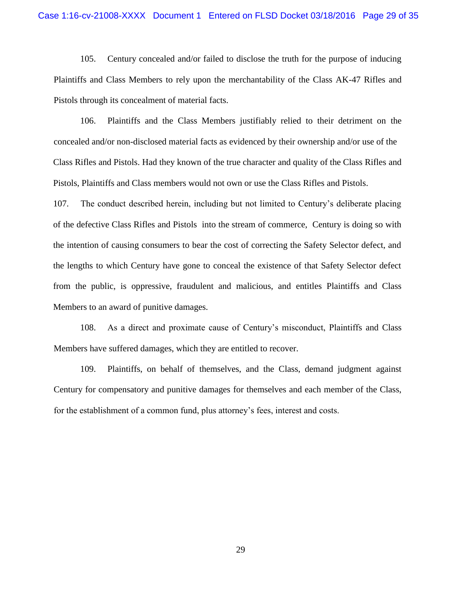105. Century concealed and/or failed to disclose the truth for the purpose of inducing Plaintiffs and Class Members to rely upon the merchantability of the Class AK-47 Rifles and Pistols through its concealment of material facts.

106. Plaintiffs and the Class Members justifiably relied to their detriment on the concealed and/or non-disclosed material facts as evidenced by their ownership and/or use of the Class Rifles and Pistols. Had they known of the true character and quality of the Class Rifles and Pistols, Plaintiffs and Class members would not own or use the Class Rifles and Pistols.

107. The conduct described herein, including but not limited to Century's deliberate placing of the defective Class Rifles and Pistols into the stream of commerce, Century is doing so with the intention of causing consumers to bear the cost of correcting the Safety Selector defect, and the lengths to which Century have gone to conceal the existence of that Safety Selector defect from the public, is oppressive, fraudulent and malicious, and entitles Plaintiffs and Class Members to an award of punitive damages.

108. As a direct and proximate cause of Century's misconduct, Plaintiffs and Class Members have suffered damages, which they are entitled to recover.

109. Plaintiffs, on behalf of themselves, and the Class, demand judgment against Century for compensatory and punitive damages for themselves and each member of the Class, for the establishment of a common fund, plus attorney's fees, interest and costs.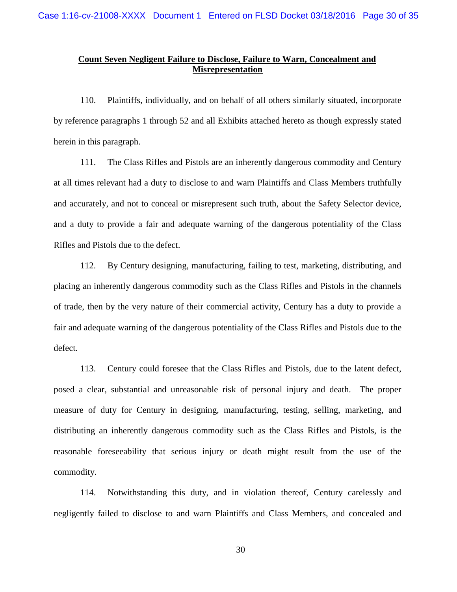# **Count Seven Negligent Failure to Disclose, Failure to Warn, Concealment and Misrepresentation**

110. Plaintiffs, individually, and on behalf of all others similarly situated, incorporate by reference paragraphs 1 through 52 and all Exhibits attached hereto as though expressly stated herein in this paragraph.

111. The Class Rifles and Pistols are an inherently dangerous commodity and Century at all times relevant had a duty to disclose to and warn Plaintiffs and Class Members truthfully and accurately, and not to conceal or misrepresent such truth, about the Safety Selector device, and a duty to provide a fair and adequate warning of the dangerous potentiality of the Class Rifles and Pistols due to the defect.

112. By Century designing, manufacturing, failing to test, marketing, distributing, and placing an inherently dangerous commodity such as the Class Rifles and Pistols in the channels of trade, then by the very nature of their commercial activity, Century has a duty to provide a fair and adequate warning of the dangerous potentiality of the Class Rifles and Pistols due to the defect.

113. Century could foresee that the Class Rifles and Pistols, due to the latent defect, posed a clear, substantial and unreasonable risk of personal injury and death. The proper measure of duty for Century in designing, manufacturing, testing, selling, marketing, and distributing an inherently dangerous commodity such as the Class Rifles and Pistols, is the reasonable foreseeability that serious injury or death might result from the use of the commodity.

114. Notwithstanding this duty, and in violation thereof, Century carelessly and negligently failed to disclose to and warn Plaintiffs and Class Members, and concealed and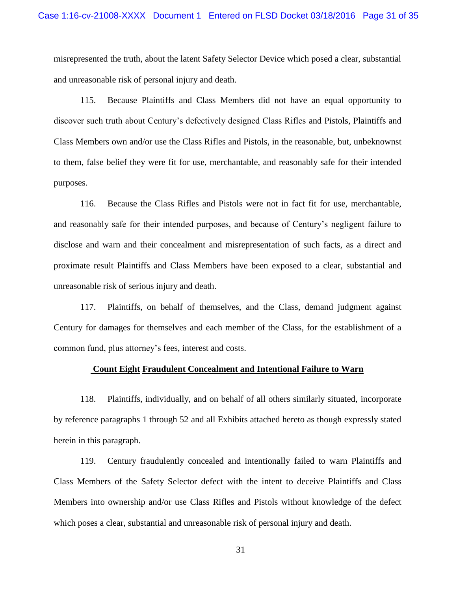misrepresented the truth, about the latent Safety Selector Device which posed a clear, substantial and unreasonable risk of personal injury and death.

115. Because Plaintiffs and Class Members did not have an equal opportunity to discover such truth about Century's defectively designed Class Rifles and Pistols, Plaintiffs and Class Members own and/or use the Class Rifles and Pistols, in the reasonable, but, unbeknownst to them, false belief they were fit for use, merchantable, and reasonably safe for their intended purposes.

116. Because the Class Rifles and Pistols were not in fact fit for use, merchantable, and reasonably safe for their intended purposes, and because of Century's negligent failure to disclose and warn and their concealment and misrepresentation of such facts, as a direct and proximate result Plaintiffs and Class Members have been exposed to a clear, substantial and unreasonable risk of serious injury and death.

117. Plaintiffs, on behalf of themselves, and the Class, demand judgment against Century for damages for themselves and each member of the Class, for the establishment of a common fund, plus attorney's fees, interest and costs.

# **Count Eight Fraudulent Concealment and Intentional Failure to Warn**

118. Plaintiffs, individually, and on behalf of all others similarly situated, incorporate by reference paragraphs 1 through 52 and all Exhibits attached hereto as though expressly stated herein in this paragraph.

119. Century fraudulently concealed and intentionally failed to warn Plaintiffs and Class Members of the Safety Selector defect with the intent to deceive Plaintiffs and Class Members into ownership and/or use Class Rifles and Pistols without knowledge of the defect which poses a clear, substantial and unreasonable risk of personal injury and death.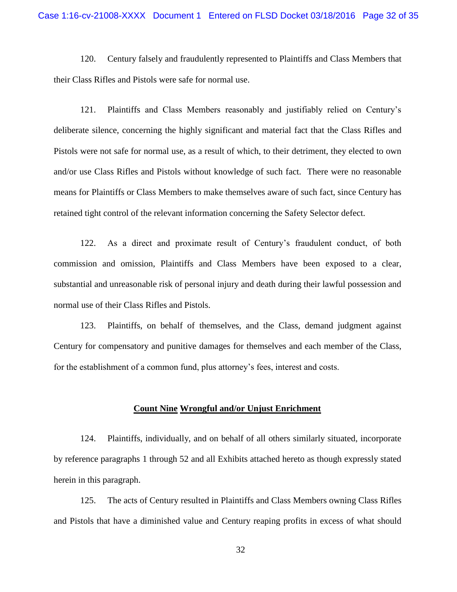120. Century falsely and fraudulently represented to Plaintiffs and Class Members that their Class Rifles and Pistols were safe for normal use.

121. Plaintiffs and Class Members reasonably and justifiably relied on Century's deliberate silence, concerning the highly significant and material fact that the Class Rifles and Pistols were not safe for normal use, as a result of which, to their detriment, they elected to own and/or use Class Rifles and Pistols without knowledge of such fact. There were no reasonable means for Plaintiffs or Class Members to make themselves aware of such fact, since Century has retained tight control of the relevant information concerning the Safety Selector defect.

122. As a direct and proximate result of Century's fraudulent conduct, of both commission and omission, Plaintiffs and Class Members have been exposed to a clear, substantial and unreasonable risk of personal injury and death during their lawful possession and normal use of their Class Rifles and Pistols.

123. Plaintiffs, on behalf of themselves, and the Class, demand judgment against Century for compensatory and punitive damages for themselves and each member of the Class, for the establishment of a common fund, plus attorney's fees, interest and costs.

### **Count Nine Wrongful and/or Unjust Enrichment**

124. Plaintiffs, individually, and on behalf of all others similarly situated, incorporate by reference paragraphs 1 through 52 and all Exhibits attached hereto as though expressly stated herein in this paragraph.

125. The acts of Century resulted in Plaintiffs and Class Members owning Class Rifles and Pistols that have a diminished value and Century reaping profits in excess of what should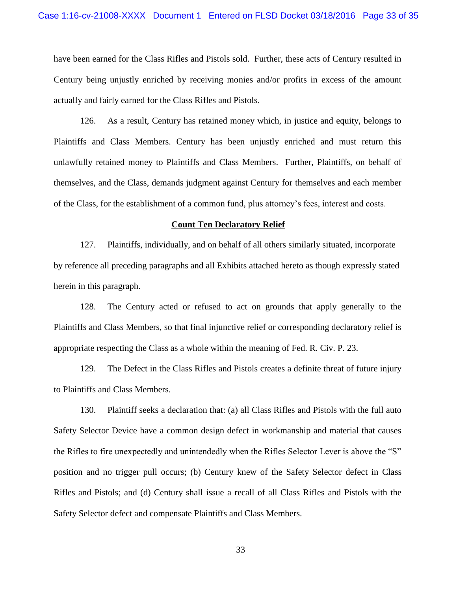have been earned for the Class Rifles and Pistols sold. Further, these acts of Century resulted in Century being unjustly enriched by receiving monies and/or profits in excess of the amount actually and fairly earned for the Class Rifles and Pistols.

126. As a result, Century has retained money which, in justice and equity, belongs to Plaintiffs and Class Members. Century has been unjustly enriched and must return this unlawfully retained money to Plaintiffs and Class Members. Further, Plaintiffs, on behalf of themselves, and the Class, demands judgment against Century for themselves and each member of the Class, for the establishment of a common fund, plus attorney's fees, interest and costs.

### **Count Ten Declaratory Relief**

127. Plaintiffs, individually, and on behalf of all others similarly situated, incorporate by reference all preceding paragraphs and all Exhibits attached hereto as though expressly stated herein in this paragraph.

128. The Century acted or refused to act on grounds that apply generally to the Plaintiffs and Class Members, so that final injunctive relief or corresponding declaratory relief is appropriate respecting the Class as a whole within the meaning of Fed. R. Civ. P. 23.

129. The Defect in the Class Rifles and Pistols creates a definite threat of future injury to Plaintiffs and Class Members.

130. Plaintiff seeks a declaration that: (a) all Class Rifles and Pistols with the full auto Safety Selector Device have a common design defect in workmanship and material that causes the Rifles to fire unexpectedly and unintendedly when the Rifles Selector Lever is above the "S" position and no trigger pull occurs; (b) Century knew of the Safety Selector defect in Class Rifles and Pistols; and (d) Century shall issue a recall of all Class Rifles and Pistols with the Safety Selector defect and compensate Plaintiffs and Class Members.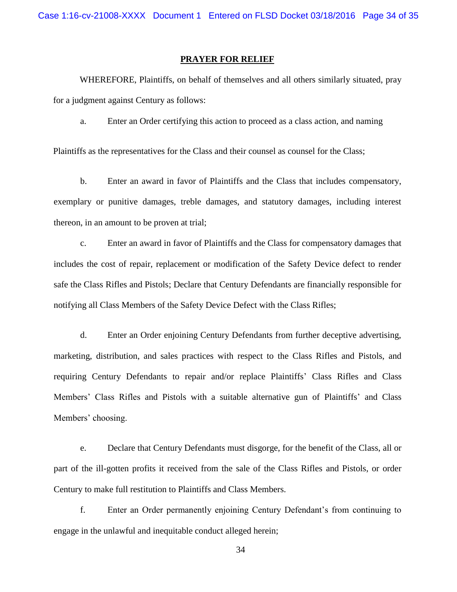Case 1:16-cv-21008-XXXX Document 1 Entered on FLSD Docket 03/18/2016 Page 34 of 35

# **PRAYER FOR RELIEF**

WHEREFORE, Plaintiffs, on behalf of themselves and all others similarly situated, pray for a judgment against Century as follows:

a. Enter an Order certifying this action to proceed as a class action, and naming

Plaintiffs as the representatives for the Class and their counsel as counsel for the Class;

b. Enter an award in favor of Plaintiffs and the Class that includes compensatory, exemplary or punitive damages, treble damages, and statutory damages, including interest thereon, in an amount to be proven at trial;

c. Enter an award in favor of Plaintiffs and the Class for compensatory damages that includes the cost of repair, replacement or modification of the Safety Device defect to render safe the Class Rifles and Pistols; Declare that Century Defendants are financially responsible for notifying all Class Members of the Safety Device Defect with the Class Rifles;

d. Enter an Order enjoining Century Defendants from further deceptive advertising, marketing, distribution, and sales practices with respect to the Class Rifles and Pistols, and requiring Century Defendants to repair and/or replace Plaintiffs' Class Rifles and Class Members' Class Rifles and Pistols with a suitable alternative gun of Plaintiffs' and Class Members' choosing.

e. Declare that Century Defendants must disgorge, for the benefit of the Class, all or part of the ill-gotten profits it received from the sale of the Class Rifles and Pistols, or order Century to make full restitution to Plaintiffs and Class Members.

f. Enter an Order permanently enjoining Century Defendant's from continuing to engage in the unlawful and inequitable conduct alleged herein;